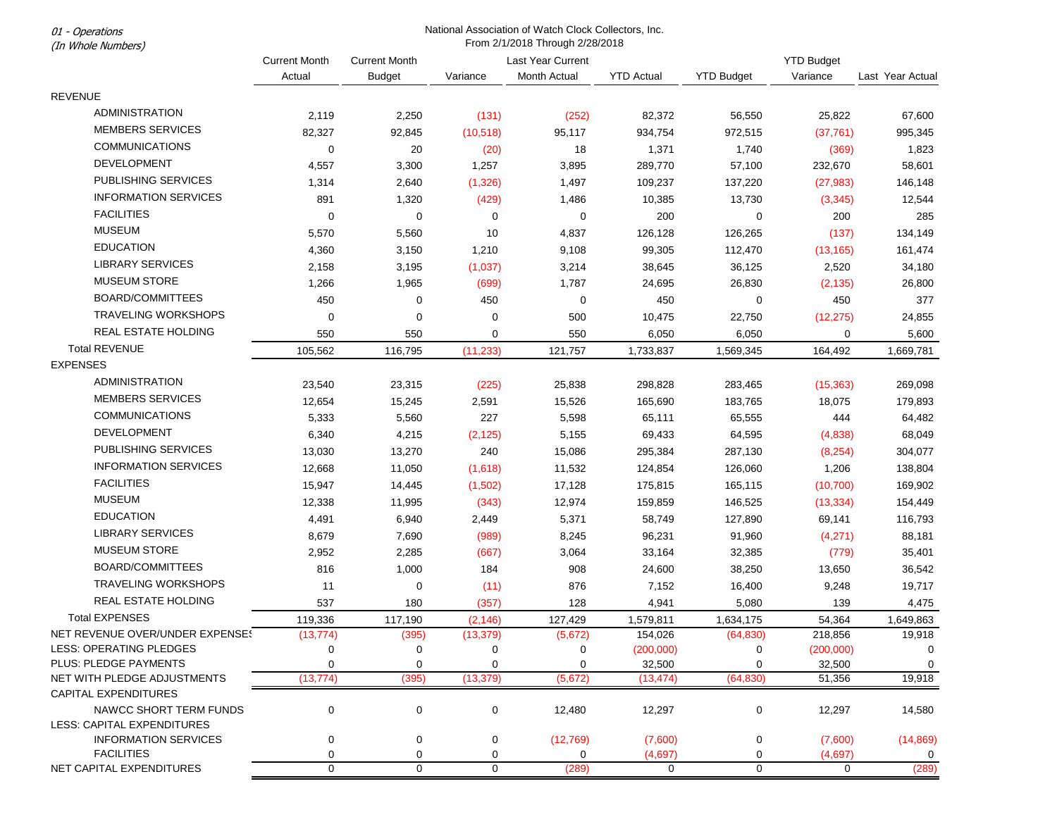From 2/1/2018 Through 2/28/2018 (In Whole Numbers) Current Month Actual Current Month Budget Variance Last Year Current Month Actual YTD Actual YTD Budget YTD Budget Variance Last Year Actual **REVENUE**  ADMINISTRATION 2,119 2,250 (131) (252) 82,372 56,550 25,822 67,600 MEMBERS SERVICES 82,327 92,845 (10,518) 95,117 934,754 972,515 (37,761) 995,345 COMMUNICATIONS 0 20 (20) 18 1,371 1,740 (369) 1,823 DEVELOPMENT 4,557 3,300 1,257 3,895 289,770 57,100 232,670 58,601 PUBLISHING SERVICES 1,314 2,640 (1,326) 1,497 109,237 137,220 (27,983) 146,148 INFORMATION SERVICES 891 1,320 (429) 1,486 10,385 13,730 (3,345) 12,544 FACILITIES 0 0 0 0 200 0 200 285 MUSEUM 5,570 5,560 10 4,837 126,128 126,265 (137) 134,149 EDUCATION 4,360 3,150 1,210 9,108 99,305 112,470 (13,165) 161,474 LIBRARY SERVICES 2,158 3,195 (1,037) 3,214 38,645 36,125 2,520 34,180 MUSEUM STORE 1,266 1,965 (699) 1,787 24,695 26,830 (2,135) 26,800 BOARD/COMMITTEES 450 0 450 0 450 0 450 377 TRAVELING WORKSHOPS 0 0 0 500 10,475 22,750 (12,275) 24,855 REAL ESTATE HOLDING 550 550 0 550 6,050 6,050 0 5,600 Total REVENUE 105,562 116,795 (11,233) 121,757 1,733,837 1,569,345 164,492 1,669,781 EXPENSES ADMINISTRATION 23,540 23,315 (225) 25,838 298,828 283,465 (15,363) 269,098 MEMBERS SERVICES 12,654 15,245 2,591 15,526 165,690 183,765 18,075 179,893 COMMUNICATIONS 5,333 5,560 227 5,598 65,111 65,555 444 64,482 DEVELOPMENT 6,340 4,215 (2,125) 5,155 69,433 64,595 (4,838) 68,049 PUBLISHING SERVICES 13,030 13,270 240 15,086 295,384 287,130 (8,254) 304,077 INFORMATION SERVICES 12,668 11,050 (1,618) 11,532 124,854 126,060 1,206 138,804 FACILITIES 15,947 14,445 (1,502) 17,128 175,815 165,115 (10,700) 169,902 MUSEUM 12,338 11,995 (343) 12,974 159,859 146,525 (13,334) 154,449 EDUCATION 4,491 6,940 2,449 5,371 58,749 127,890 69,141 116,793 LIBRARY SERVICES 8,679 7,690 (989) 8,245 96,231 91,960 (4,271) 88,181 MUSEUM STORE 2,952 2,285 (667) 3,064 33,164 32,385 (779) 35,401 BOARD/COMMITTEES 816 1,000 184 908 24,600 38,250 13,650 36,542 TRAVELING WORKSHOPS 11 0 (11) 876 7,152 16,400 9,248 19,717 REAL ESTATE HOLDING 537 180 (357) 128 4,941 5,080 139 4,475 Total EXPENSES 119,336 117,190 (2,146) 127,429 1,579,811 1,634,175 54,364 1,649,863 NET REVENUE OVER/UNDER EXPENSES (13,774) (395) (13,379) (5,672) 154,026 (64,830) 218,856 19,918 LESS: OPERATING PLEDGES 0 0 0 0 (200,000) 0 (200,000) 0 PLUS: PLEDGE PAYMENTS 0 0 0 0 0 0 32.500 0 32.500 0 32.500 0 32.500 0 0 32.500 0 0 32.500 0 0 0 0 0 0 0 0 0 0 0 NET WITH PLEDGE ADJUSTMENTS (13,774) (395) (13,379) (5,672) (13,474) (64,830) 51,356 19,918 CAPITAL EXPENDITURES NAWCC SHORT TERM FUNDS 0 0 0 0 12,480 12,297 0 12,297 14,580 LESS: CAPITAL EXPENDITURES INFORMATION SERVICES 0 0 0 (12,769) (7,600) 0 (7,600) (14,869) FACILITIES 0 0 0 0 (4,697) 0 (4,697) 0 NET CAPITAL EXPENDITURES 0 0 0 0 (289) 0 0 0 0 (289)

National Association of Watch Clock Collectors, Inc.

01 - Operations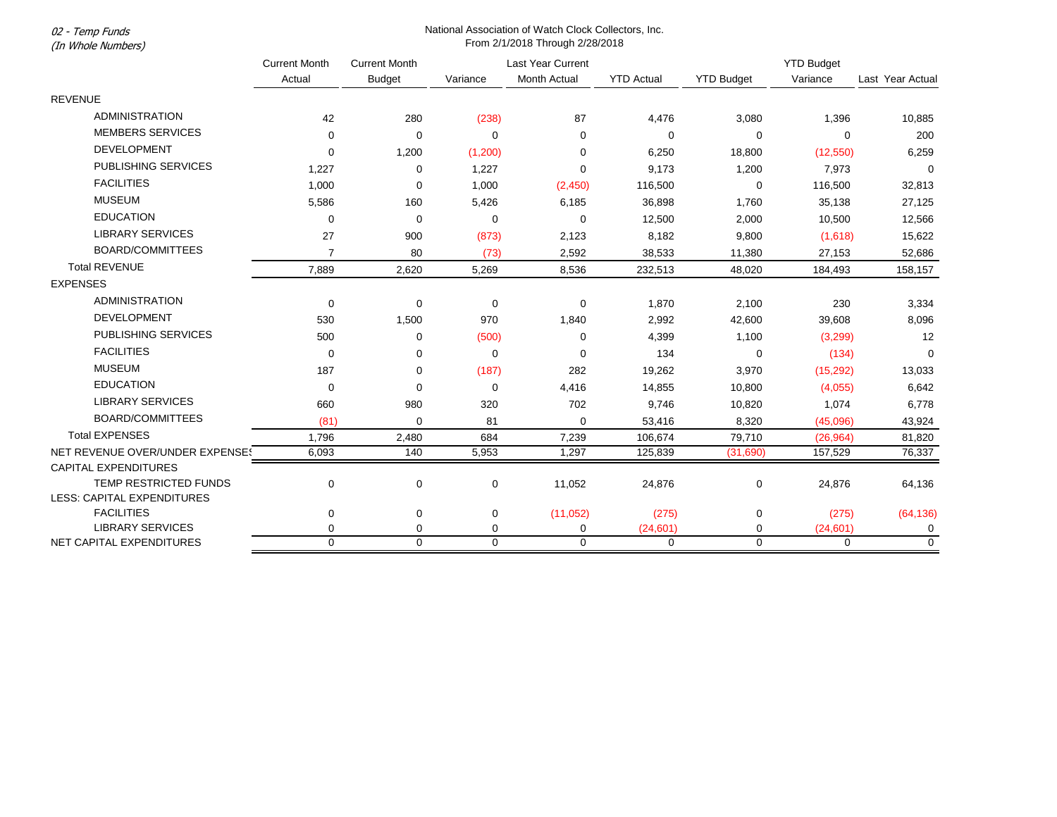02 - Temp Funds (In Whole Numbers)

## National Association of Watch Clock Collectors, Inc. From 2/1/2018 Through 2/28/2018

|                                 | <b>Current Month</b><br>Actual | <b>Current Month</b> | <b>Last Year Current</b> |                     |                   | <b>YTD Budget</b> |           |                  |
|---------------------------------|--------------------------------|----------------------|--------------------------|---------------------|-------------------|-------------------|-----------|------------------|
|                                 |                                | <b>Budget</b>        | Variance                 | <b>Month Actual</b> | <b>YTD Actual</b> | <b>YTD Budget</b> | Variance  | Last Year Actual |
| <b>REVENUE</b>                  |                                |                      |                          |                     |                   |                   |           |                  |
| <b>ADMINISTRATION</b>           | 42                             | 280                  | (238)                    | 87                  | 4,476             | 3,080             | 1,396     | 10,885           |
| <b>MEMBERS SERVICES</b>         | $\Omega$                       | 0                    | $\mathbf 0$              | $\mathbf 0$         | $\mathbf 0$       | 0                 | 0         | 200              |
| <b>DEVELOPMENT</b>              | $\Omega$                       | 1,200                | (1,200)                  | 0                   | 6,250             | 18,800            | (12, 550) | 6,259            |
| <b>PUBLISHING SERVICES</b>      | 1,227                          | 0                    | 1,227                    | $\Omega$            | 9,173             | 1,200             | 7,973     | $\Omega$         |
| <b>FACILITIES</b>               | 1,000                          | 0                    | 1,000                    | (2,450)             | 116,500           | $\mathbf 0$       | 116,500   | 32,813           |
| <b>MUSEUM</b>                   | 5,586                          | 160                  | 5,426                    | 6,185               | 36,898            | 1,760             | 35,138    | 27,125           |
| <b>EDUCATION</b>                | $\mathbf 0$                    | 0                    | 0                        | 0                   | 12,500            | 2,000             | 10,500    | 12,566           |
| <b>LIBRARY SERVICES</b>         | 27                             | 900                  | (873)                    | 2,123               | 8,182             | 9,800             | (1,618)   | 15,622           |
| <b>BOARD/COMMITTEES</b>         | $\overline{7}$                 | 80                   | (73)                     | 2,592               | 38,533            | 11,380            | 27,153    | 52,686           |
| <b>Total REVENUE</b>            | 7,889                          | 2,620                | 5,269                    | 8,536               | 232,513           | 48,020            | 184,493   | 158,157          |
| <b>EXPENSES</b>                 |                                |                      |                          |                     |                   |                   |           |                  |
| <b>ADMINISTRATION</b>           | $\mathbf 0$                    | 0                    | $\mathbf 0$              | 0                   | 1,870             | 2,100             | 230       | 3,334            |
| DEVELOPMENT                     | 530                            | 1,500                | 970                      | 1,840               | 2,992             | 42,600            | 39,608    | 8,096            |
| PUBLISHING SERVICES             | 500                            | 0                    | (500)                    | 0                   | 4,399             | 1,100             | (3,299)   | 12               |
| <b>FACILITIES</b>               | 0                              | 0                    | $\mathbf 0$              | $\Omega$            | 134               | 0                 | (134)     | $\mathbf 0$      |
| <b>MUSEUM</b>                   | 187                            | 0                    | (187)                    | 282                 | 19,262            | 3,970             | (15, 292) | 13,033           |
| <b>EDUCATION</b>                | $\mathbf 0$                    | 0                    | $\mathbf 0$              | 4,416               | 14,855            | 10,800            | (4,055)   | 6,642            |
| <b>LIBRARY SERVICES</b>         | 660                            | 980                  | 320                      | 702                 | 9,746             | 10,820            | 1,074     | 6,778            |
| <b>BOARD/COMMITTEES</b>         | (81)                           | 0                    | 81                       | $\mathbf 0$         | 53,416            | 8,320             | (45,096)  | 43,924           |
| <b>Total EXPENSES</b>           | 1,796                          | 2,480                | 684                      | 7,239               | 106,674           | 79,710            | (26, 964) | 81,820           |
| NET REVENUE OVER/UNDER EXPENSE! | 6,093                          | 140                  | 5,953                    | 1,297               | 125,839           | (31,690)          | 157,529   | 76,337           |
| <b>CAPITAL EXPENDITURES</b>     |                                |                      |                          |                     |                   |                   |           |                  |
| TEMP RESTRICTED FUNDS           | $\mathbf 0$                    | 0                    | 0                        | 11,052              | 24,876            | 0                 | 24,876    | 64,136           |
| LESS: CAPITAL EXPENDITURES      |                                |                      |                          |                     |                   |                   |           |                  |
| <b>FACILITIES</b>               | $\mathbf 0$                    | 0                    | 0                        | (11,052)            | (275)             | 0                 | (275)     | (64, 136)        |
| <b>LIBRARY SERVICES</b>         | $\Omega$                       | 0                    | 0                        | $\mathbf 0$         | (24, 601)         | 0                 | (24,601)  | 0                |
| NET CAPITAL EXPENDITURES        | $\Omega$                       | $\Omega$             | $\Omega$                 | $\Omega$            | $\mathbf 0$       | $\mathbf{0}$      | $\Omega$  | $\mathbf 0$      |